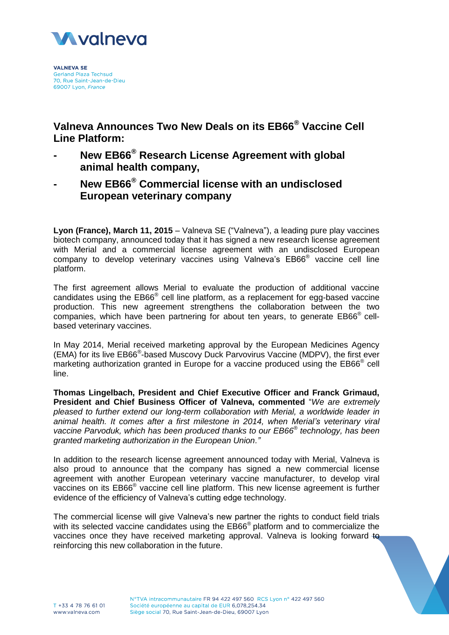

**VALNEVA SE Gerland Plaza Techsud** 70, Rue Saint-Jean-de-Dieu 69007 Lyon, France

**Valneva Announces Two New Deals on its EB66® Vaccine Cell Line Platform:**

- **- New EB66® Research License Agreement with global animal health company,**
- **- New EB66® Commercial license with an undisclosed European veterinary company**

**Lyon (France), March 11, 2015** – Valneva SE ("Valneva"), a leading pure play vaccines biotech company, announced today that it has signed a new research license agreement with Merial and a commercial license agreement with an undisclosed European company to develop veterinary vaccines using Valneva's EB66® vaccine cell line platform.

The first agreement allows Merial to evaluate the production of additional vaccine candidates using the EB66<sup>®</sup> cell line platform, as a replacement for egg-based vaccine production. This new agreement strengthens the collaboration between the two companies, which have been partnering for about ten years, to generate EB66® cellbased veterinary vaccines.

In May 2014, Merial received marketing approval by the European Medicines Agency (EMA) for its live EB66® -based Muscovy Duck Parvovirus Vaccine (MDPV), the first ever marketing authorization granted in Europe for a vaccine produced using the EB66<sup>®</sup> cell line.

**Thomas Lingelbach, President and Chief Executive Officer and Franck Grimaud, President and Chief Business Officer of Valneva, commented** "*We are extremely pleased to further extend our long-term collaboration with Merial, a worldwide leader in animal health. It comes after a first milestone in 2014, when Merial's veterinary viral vaccine Parvoduk, which has been produced thanks to our EB66® technology, has been granted marketing authorization in the European Union."*

In addition to the research license agreement announced today with Merial, Valneva is also proud to announce that the company has signed a new commercial license agreement with another European veterinary vaccine manufacturer, to develop viral vaccines on its EB66<sup>®</sup> vaccine cell line platform. This new license agreement is further evidence of the efficiency of Valneva's cutting edge technology.

The commercial license will give Valneva's new partner the rights to conduct field trials with its selected vaccine candidates using the EB66<sup>®</sup> platform and to commercialize the vaccines once they have received marketing approval. Valneva is looking forward to reinforcing this new collaboration in the future.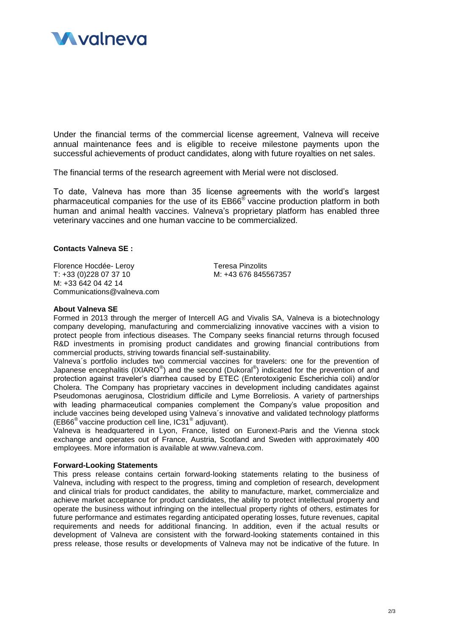

Under the financial terms of the commercial license agreement, Valneva will receive annual maintenance fees and is eligible to receive milestone payments upon the successful achievements of product candidates, along with future royalties on net sales.

The financial terms of the research agreement with Merial were not disclosed.

To date, Valneva has more than 35 license agreements with the world's largest pharmaceutical companies for the use of its EB66® vaccine production platform in both human and animal health vaccines. Valneva's proprietary platform has enabled three veterinary vaccines and one human vaccine to be commercialized.

## **Contacts Valneva SE :**

Florence Hocdée- Leroy Teresa Pinzolits T: +33 (0)228 07 37 10 M: +43 676 845567357 M: +33 642 04 42 14 Communications@valneva.com

## **About Valneva SE**

Formed in 2013 through the merger of Intercell AG and Vivalis SA, Valneva is a biotechnology company developing, manufacturing and commercializing innovative vaccines with a vision to protect people from infectious diseases. The Company seeks financial returns through focused R&D investments in promising product candidates and growing financial contributions from commercial products, striving towards financial self-sustainability.

Valneva´s portfolio includes two commercial vaccines for travelers: one for the prevention of Japanese encephalitis (IXIARO<sup>®</sup>) and the second (Dukoral<sup>®</sup>) indicated for the prevention of and protection against traveler's diarrhea caused by ETEC (Enterotoxigenic Escherichia coli) and/or Cholera. The Company has proprietary vaccines in development including candidates against Pseudomonas aeruginosa, Clostridium difficile and Lyme Borreliosis. A variety of partnerships with leading pharmaceutical companies complement the Company's value proposition and include vaccines being developed using Valneva´s innovative and validated technology platforms (EB66® vaccine production cell line, IC31® adjuvant).

Valneva is headquartered in Lyon, France, listed on Euronext-Paris and the Vienna stock exchange and operates out of France, Austria, Scotland and Sweden with approximately 400 employees. More information is available at www.valneva.com.

## **Forward-Looking Statements**

This press release contains certain forward-looking statements relating to the business of Valneva, including with respect to the progress, timing and completion of research, development and clinical trials for product candidates, the ability to manufacture, market, commercialize and achieve market acceptance for product candidates, the ability to protect intellectual property and operate the business without infringing on the intellectual property rights of others, estimates for future performance and estimates regarding anticipated operating losses, future revenues, capital requirements and needs for additional financing. In addition, even if the actual results or development of Valneva are consistent with the forward-looking statements contained in this press release, those results or developments of Valneva may not be indicative of the future. In